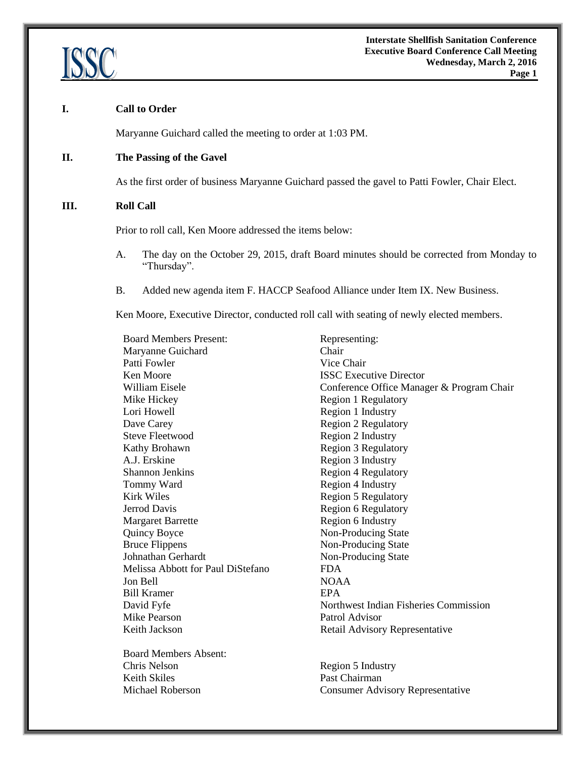

#### **I. Call to Order**

Maryanne Guichard called the meeting to order at 1:03 PM.

#### **II. The Passing of the Gavel**

As the first order of business Maryanne Guichard passed the gavel to Patti Fowler, Chair Elect.

#### **III. Roll Call**

Prior to roll call, Ken Moore addressed the items below:

- A. The day on the October 29, 2015, draft Board minutes should be corrected from Monday to "Thursday".
- B. Added new agenda item F. HACCP Seafood Alliance under Item IX. New Business.

Ken Moore, Executive Director, conducted roll call with seating of newly elected members.

| <b>Board Members Present:</b>     | Representing:                             |  |
|-----------------------------------|-------------------------------------------|--|
| Maryanne Guichard                 | Chair                                     |  |
| Patti Fowler                      | Vice Chair                                |  |
| Ken Moore                         | <b>ISSC</b> Executive Director            |  |
| William Eisele                    | Conference Office Manager & Program Chair |  |
| Mike Hickey                       | <b>Region 1 Regulatory</b>                |  |
| Lori Howell                       | Region 1 Industry                         |  |
| Dave Carey                        | <b>Region 2 Regulatory</b>                |  |
| <b>Steve Fleetwood</b>            | Region 2 Industry                         |  |
| Kathy Brohawn                     | <b>Region 3 Regulatory</b>                |  |
| A.J. Erskine                      | Region 3 Industry                         |  |
| <b>Shannon Jenkins</b>            | <b>Region 4 Regulatory</b>                |  |
| Tommy Ward                        | Region 4 Industry                         |  |
| <b>Kirk Wiles</b>                 | <b>Region 5 Regulatory</b>                |  |
| <b>Jerrod Davis</b>               | Region 6 Regulatory                       |  |
| <b>Margaret Barrette</b>          | Region 6 Industry                         |  |
| Quincy Boyce                      | Non-Producing State                       |  |
| <b>Bruce Flippens</b>             | Non-Producing State                       |  |
| Johnathan Gerhardt                | Non-Producing State                       |  |
| Melissa Abbott for Paul DiStefano | <b>FDA</b>                                |  |
| Jon Bell                          | <b>NOAA</b>                               |  |
| <b>Bill Kramer</b>                | <b>EPA</b>                                |  |
| David Fyfe                        | Northwest Indian Fisheries Commission     |  |
| Mike Pearson                      | Patrol Advisor                            |  |
| Keith Jackson                     | Retail Advisory Representative            |  |
| <b>Board Members Absent:</b>      |                                           |  |

Chris Nelson Region 5 Industry Keith Skiles Past Chairman Michael Roberson Consumer Advisory Representative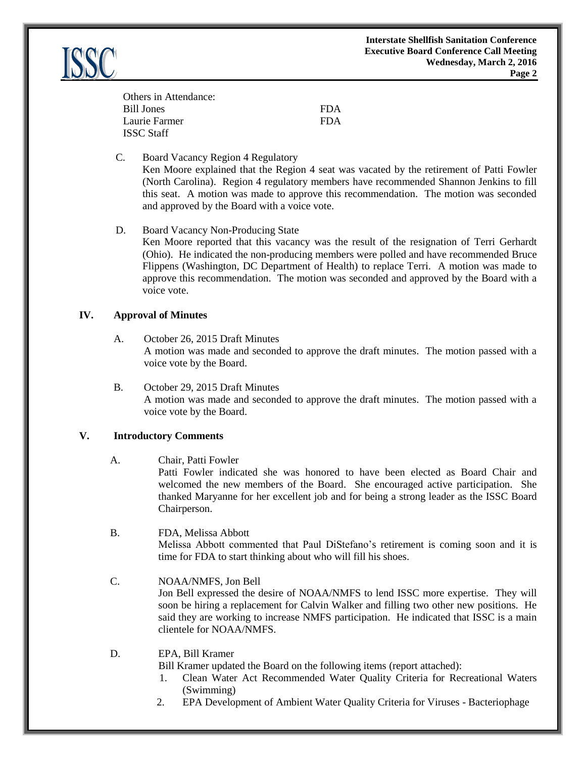| Others in Attendance: |            |
|-----------------------|------------|
| Bill Jones            | <b>FDA</b> |
| Laurie Farmer         | <b>FDA</b> |
| <b>ISSC Staff</b>     |            |

C. Board Vacancy Region 4 Regulatory

Ken Moore explained that the Region 4 seat was vacated by the retirement of Patti Fowler (North Carolina). Region 4 regulatory members have recommended Shannon Jenkins to fill this seat. A motion was made to approve this recommendation. The motion was seconded and approved by the Board with a voice vote.

D. Board Vacancy Non-Producing State

Ken Moore reported that this vacancy was the result of the resignation of Terri Gerhardt (Ohio). He indicated the non-producing members were polled and have recommended Bruce Flippens (Washington, DC Department of Health) to replace Terri. A motion was made to approve this recommendation. The motion was seconded and approved by the Board with a voice vote.

#### **IV. Approval of Minutes**

- A. October 26, 2015 Draft Minutes A motion was made and seconded to approve the draft minutes. The motion passed with a voice vote by the Board.
- B. October 29, 2015 Draft Minutes A motion was made and seconded to approve the draft minutes. The motion passed with a voice vote by the Board.

#### **V. Introductory Comments**

A. Chair, Patti Fowler

Patti Fowler indicated she was honored to have been elected as Board Chair and welcomed the new members of the Board. She encouraged active participation. She thanked Maryanne for her excellent job and for being a strong leader as the ISSC Board Chairperson.

B. FDA, Melissa Abbott Melissa Abbott commented that Paul DiStefano's retirement is coming soon and it is time for FDA to start thinking about who will fill his shoes.

#### C. NOAA/NMFS, Jon Bell Jon Bell expressed the desire of NOAA/NMFS to lend ISSC more expertise. They will soon be hiring a replacement for Calvin Walker and filling two other new positions. He said they are working to increase NMFS participation. He indicated that ISSC is a main clientele for NOAA/NMFS.

D. EPA, Bill Kramer

Bill Kramer updated the Board on the following items (report attached):

- 1. Clean Water Act Recommended Water Quality Criteria for Recreational Waters (Swimming)
- 2. EPA Development of Ambient Water Quality Criteria for Viruses Bacteriophage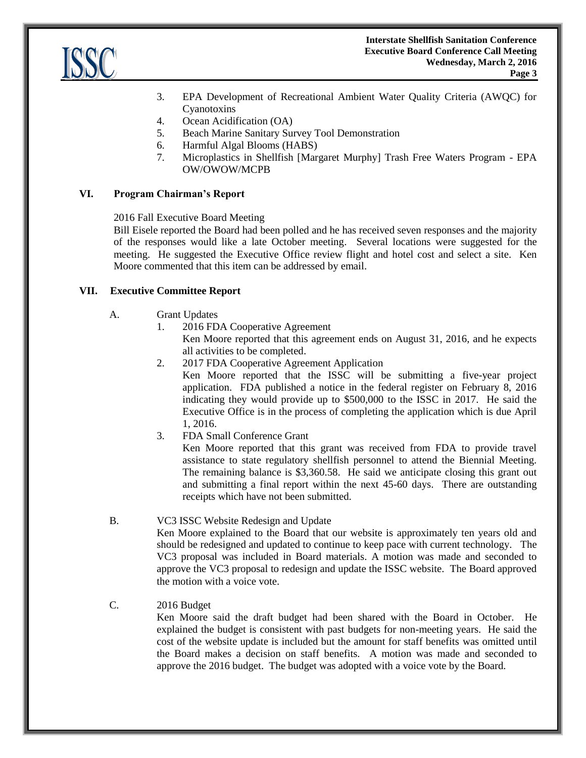

- 3. EPA Development of Recreational Ambient Water Quality Criteria (AWQC) for Cyanotoxins
- 4. Ocean Acidification (OA)
- 5. Beach Marine Sanitary Survey Tool Demonstration
- 6. Harmful Algal Blooms (HABS)
- 7. Microplastics in Shellfish [Margaret Murphy] Trash Free Waters Program EPA OW/OWOW/MCPB

## **VI. Program Chairman's Report**

2016 Fall Executive Board Meeting

Bill Eisele reported the Board had been polled and he has received seven responses and the majority of the responses would like a late October meeting. Several locations were suggested for the meeting. He suggested the Executive Office review flight and hotel cost and select a site. Ken Moore commented that this item can be addressed by email.

## **VII. Executive Committee Report**

- A. Grant Updates
	- 1. 2016 FDA Cooperative Agreement
		- Ken Moore reported that this agreement ends on August 31, 2016, and he expects all activities to be completed.
	- 2. 2017 FDA Cooperative Agreement Application

Ken Moore reported that the ISSC will be submitting a five-year project application. FDA published a notice in the federal register on February 8, 2016 indicating they would provide up to \$500,000 to the ISSC in 2017. He said the Executive Office is in the process of completing the application which is due April 1, 2016.

3. FDA Small Conference Grant

Ken Moore reported that this grant was received from FDA to provide travel assistance to state regulatory shellfish personnel to attend the Biennial Meeting. The remaining balance is \$3,360.58. He said we anticipate closing this grant out and submitting a final report within the next 45-60 days. There are outstanding receipts which have not been submitted.

B. VC3 ISSC Website Redesign and Update

Ken Moore explained to the Board that our website is approximately ten years old and should be redesigned and updated to continue to keep pace with current technology. The VC3 proposal was included in Board materials. A motion was made and seconded to approve the VC3 proposal to redesign and update the ISSC website. The Board approved the motion with a voice vote.

# C. 2016 Budget

Ken Moore said the draft budget had been shared with the Board in October. He explained the budget is consistent with past budgets for non-meeting years. He said the cost of the website update is included but the amount for staff benefits was omitted until the Board makes a decision on staff benefits. A motion was made and seconded to approve the 2016 budget. The budget was adopted with a voice vote by the Board.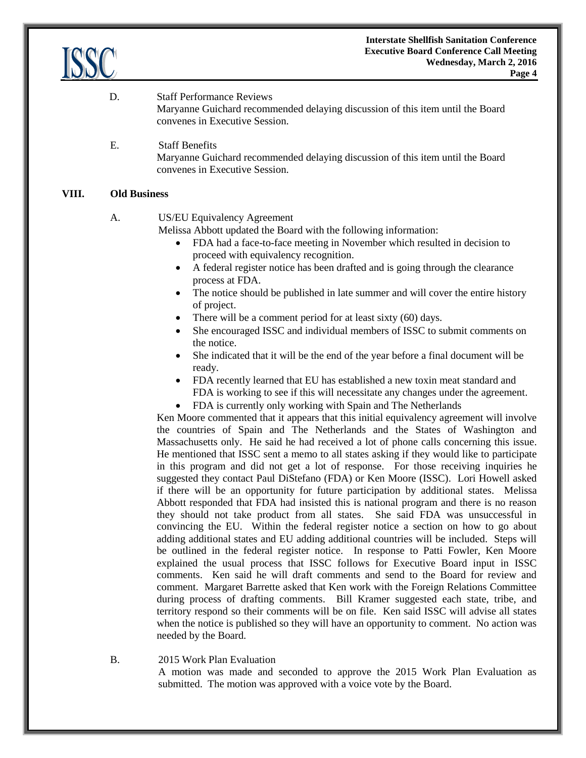

- D. Staff Performance Reviews Maryanne Guichard recommended delaying discussion of this item until the Board convenes in Executive Session.
- E. Staff Benefits Maryanne Guichard recommended delaying discussion of this item until the Board convenes in Executive Session.

#### **VIII. Old Business**

## A. US/EU Equivalency Agreement

Melissa Abbott updated the Board with the following information:

- FDA had a face-to-face meeting in November which resulted in decision to proceed with equivalency recognition.
- A federal register notice has been drafted and is going through the clearance process at FDA.
- The notice should be published in late summer and will cover the entire history of project.
- There will be a comment period for at least sixty (60) days.
- She encouraged ISSC and individual members of ISSC to submit comments on the notice.
- She indicated that it will be the end of the year before a final document will be ready.
- FDA recently learned that EU has established a new toxin meat standard and FDA is working to see if this will necessitate any changes under the agreement.
- FDA is currently only working with Spain and The Netherlands

Ken Moore commented that it appears that this initial equivalency agreement will involve the countries of Spain and The Netherlands and the States of Washington and Massachusetts only. He said he had received a lot of phone calls concerning this issue. He mentioned that ISSC sent a memo to all states asking if they would like to participate in this program and did not get a lot of response. For those receiving inquiries he suggested they contact Paul DiStefano (FDA) or Ken Moore (ISSC). Lori Howell asked if there will be an opportunity for future participation by additional states. Melissa Abbott responded that FDA had insisted this is national program and there is no reason they should not take product from all states. She said FDA was unsuccessful in convincing the EU. Within the federal register notice a section on how to go about adding additional states and EU adding additional countries will be included. Steps will be outlined in the federal register notice. In response to Patti Fowler, Ken Moore explained the usual process that ISSC follows for Executive Board input in ISSC comments. Ken said he will draft comments and send to the Board for review and comment. Margaret Barrette asked that Ken work with the Foreign Relations Committee during process of drafting comments. Bill Kramer suggested each state, tribe, and territory respond so their comments will be on file. Ken said ISSC will advise all states when the notice is published so they will have an opportunity to comment. No action was needed by the Board.

#### B. 2015 Work Plan Evaluation

A motion was made and seconded to approve the 2015 Work Plan Evaluation as submitted. The motion was approved with a voice vote by the Board.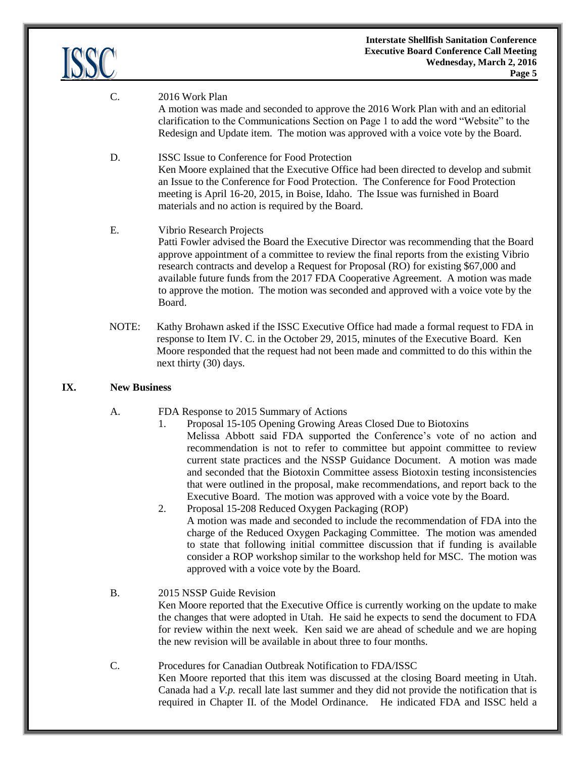

#### C. 2016 Work Plan

A motion was made and seconded to approve the 2016 Work Plan with and an editorial clarification to the Communications Section on Page 1 to add the word "Website" to the Redesign and Update item. The motion was approved with a voice vote by the Board.

#### D. ISSC Issue to Conference for Food Protection Ken Moore explained that the Executive Office had been directed to develop and submit an Issue to the Conference for Food Protection. The Conference for Food Protection meeting is April 16-20, 2015, in Boise, Idaho. The Issue was furnished in Board materials and no action is required by the Board.

#### E. Vibrio Research Projects

Patti Fowler advised the Board the Executive Director was recommending that the Board approve appointment of a committee to review the final reports from the existing Vibrio research contracts and develop a Request for Proposal (RO) for existing \$67,000 and available future funds from the 2017 FDA Cooperative Agreement. A motion was made to approve the motion. The motion was seconded and approved with a voice vote by the Board.

NOTE: Kathy Brohawn asked if the ISSC Executive Office had made a formal request to FDA in response to Item IV. C. in the October 29, 2015, minutes of the Executive Board. Ken Moore responded that the request had not been made and committed to do this within the next thirty (30) days.

#### **IX. New Business**

- A. FDA Response to 2015 Summary of Actions
	- 1. Proposal 15-105 Opening Growing Areas Closed Due to Biotoxins Melissa Abbott said FDA supported the Conference's vote of no action and recommendation is not to refer to committee but appoint committee to review current state practices and the NSSP Guidance Document. A motion was made and seconded that the Biotoxin Committee assess Biotoxin testing inconsistencies that were outlined in the proposal, make recommendations, and report back to the Executive Board. The motion was approved with a voice vote by the Board.
	- 2. Proposal 15-208 Reduced Oxygen Packaging (ROP) A motion was made and seconded to include the recommendation of FDA into the charge of the Reduced Oxygen Packaging Committee. The motion was amended to state that following initial committee discussion that if funding is available consider a ROP workshop similar to the workshop held for MSC. The motion was approved with a voice vote by the Board.

# B. 2015 NSSP Guide Revision

Ken Moore reported that the Executive Office is currently working on the update to make the changes that were adopted in Utah. He said he expects to send the document to FDA for review within the next week. Ken said we are ahead of schedule and we are hoping the new revision will be available in about three to four months.

#### C. Procedures for Canadian Outbreak Notification to FDA/ISSC

Ken Moore reported that this item was discussed at the closing Board meeting in Utah. Canada had a *V.p.* recall late last summer and they did not provide the notification that is required in Chapter II. of the Model Ordinance. He indicated FDA and ISSC held a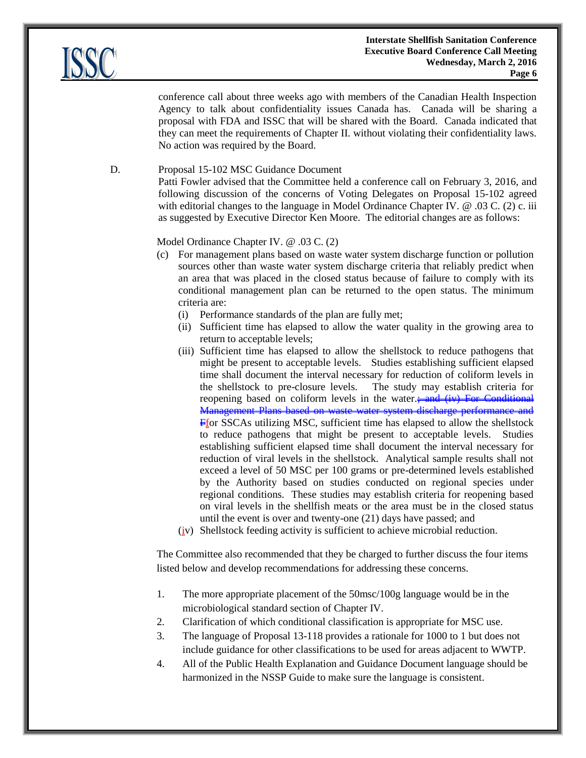conference call about three weeks ago with members of the Canadian Health Inspection Agency to talk about confidentiality issues Canada has. Canada will be sharing a proposal with FDA and ISSC that will be shared with the Board. Canada indicated that they can meet the requirements of Chapter II. without violating their confidentiality laws. No action was required by the Board.

D. Proposal 15-102 MSC Guidance Document

Patti Fowler advised that the Committee held a conference call on February 3, 2016, and following discussion of the concerns of Voting Delegates on Proposal 15-102 agreed with editorial changes to the language in Model Ordinance Chapter IV. @ .03 C. (2) c. iii as suggested by Executive Director Ken Moore. The editorial changes are as follows:

## Model Ordinance Chapter IV. @ .03 C. (2)

- (c) For management plans based on waste water system discharge function or pollution sources other than waste water system discharge criteria that reliably predict when an area that was placed in the closed status because of failure to comply with its conditional management plan can be returned to the open status. The minimum criteria are:
	- (i) Performance standards of the plan are fully met;
	- (ii) Sufficient time has elapsed to allow the water quality in the growing area to return to acceptable levels;
	- (iii) Sufficient time has elapsed to allow the shellstock to reduce pathogens that might be present to acceptable levels. Studies establishing sufficient elapsed time shall document the interval necessary for reduction of coliform levels in the shellstock to pre-closure levels. The study may establish criteria for reopening based on coliform levels in the water. $\frac{1}{2}$  and (iv) For Conditional Management Plans based on waste water system discharge performance and Ffor SSCAs utilizing MSC, sufficient time has elapsed to allow the shellstock to reduce pathogens that might be present to acceptable levels. Studies establishing sufficient elapsed time shall document the interval necessary for reduction of viral levels in the shellstock. Analytical sample results shall not exceed a level of 50 MSC per 100 grams or pre-determined levels established by the Authority based on studies conducted on regional species under regional conditions. These studies may establish criteria for reopening based on viral levels in the shellfish meats or the area must be in the closed status until the event is over and twenty-one (21) days have passed; and
	- (iv) Shellstock feeding activity is sufficient to achieve microbial reduction.

The Committee also recommended that they be charged to further discuss the four items listed below and develop recommendations for addressing these concerns.

- 1. The more appropriate placement of the 50msc/100g language would be in the microbiological standard section of Chapter IV.
- 2. Clarification of which conditional classification is appropriate for MSC use.
- 3. The language of Proposal 13-118 provides a rationale for 1000 to 1 but does not include guidance for other classifications to be used for areas adjacent to WWTP.
- 4. All of the Public Health Explanation and Guidance Document language should be harmonized in the NSSP Guide to make sure the language is consistent.